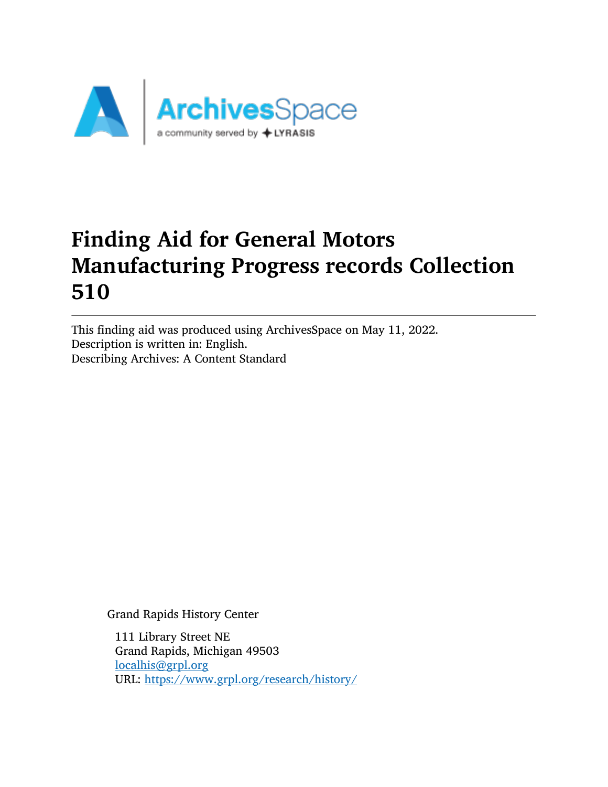

# Finding Aid for General Motors Manufacturing Progress records Collection 510

This finding aid was produced using ArchivesSpace on May 11, 2022. Description is written in: English. Describing Archives: A Content Standard

Grand Rapids History Center

111 Library Street NE Grand Rapids, Michigan 49503 [localhis@grpl.org](mailto:localhis@grpl.org) URL: <https://www.grpl.org/research/history/>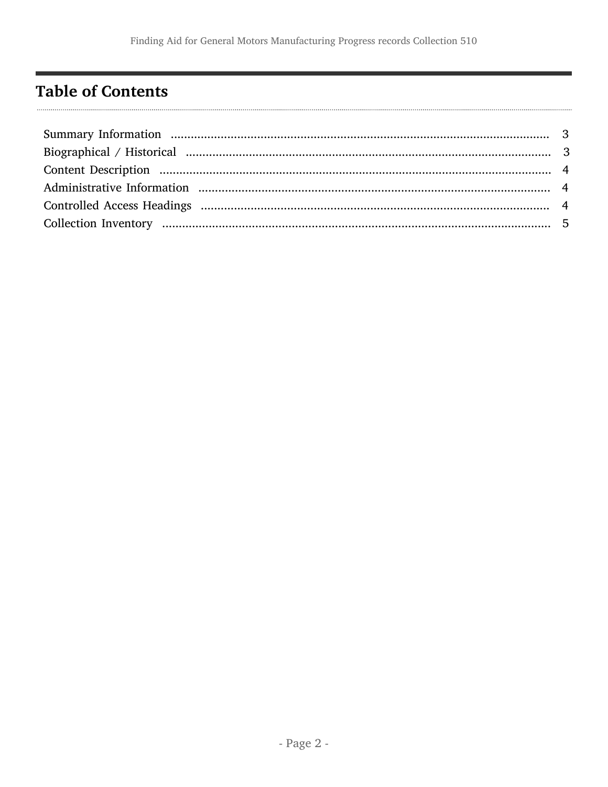## <span id="page-1-0"></span>**Table of Contents**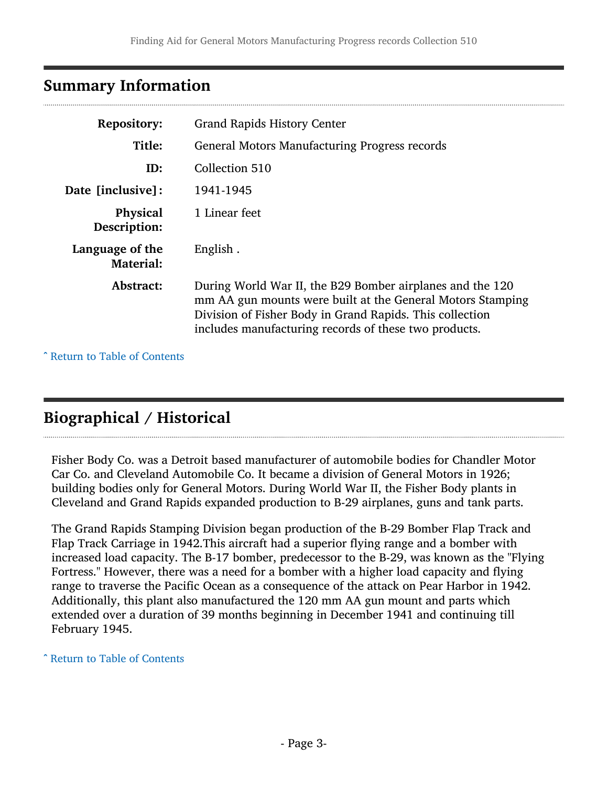#### <span id="page-2-0"></span>Summary Information

| <b>Repository:</b>                  | <b>Grand Rapids History Center</b>                                                                                                                                                                                                           |
|-------------------------------------|----------------------------------------------------------------------------------------------------------------------------------------------------------------------------------------------------------------------------------------------|
| Title:                              | <b>General Motors Manufacturing Progress records</b>                                                                                                                                                                                         |
| ID:                                 | Collection 510                                                                                                                                                                                                                               |
| Date [inclusive]:                   | 1941-1945                                                                                                                                                                                                                                    |
| <b>Physical</b><br>Description:     | 1 Linear feet                                                                                                                                                                                                                                |
| Language of the<br><b>Material:</b> | English.                                                                                                                                                                                                                                     |
| Abstract:                           | During World War II, the B29 Bomber airplanes and the 120<br>mm AA gun mounts were built at the General Motors Stamping<br>Division of Fisher Body in Grand Rapids. This collection<br>includes manufacturing records of these two products. |

^ [Return to Table of Contents](#page-1-0)

### <span id="page-2-1"></span>Biographical / Historical

Fisher Body Co. was a Detroit based manufacturer of automobile bodies for Chandler Motor Car Co. and Cleveland Automobile Co. It became a division of General Motors in 1926; building bodies only for General Motors. During World War II, the Fisher Body plants in Cleveland and Grand Rapids expanded production to B-29 airplanes, guns and tank parts.

The Grand Rapids Stamping Division began production of the B-29 Bomber Flap Track and Flap Track Carriage in 1942.This aircraft had a superior flying range and a bomber with increased load capacity. The B-17 bomber, predecessor to the B-29, was known as the "Flying Fortress." However, there was a need for a bomber with a higher load capacity and flying range to traverse the Pacific Ocean as a consequence of the attack on Pear Harbor in 1942. Additionally, this plant also manufactured the 120 mm AA gun mount and parts which extended over a duration of 39 months beginning in December 1941 and continuing till February 1945.

#### ^ [Return to Table of Contents](#page-1-0)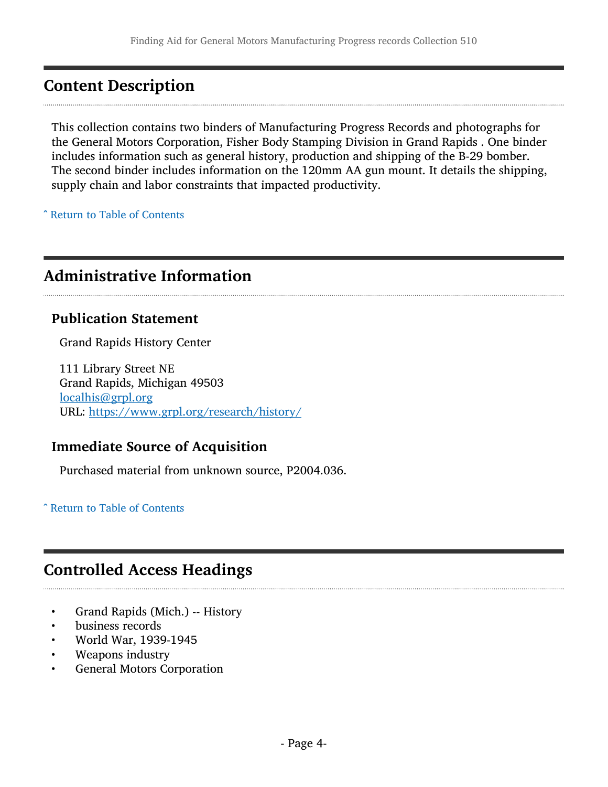### <span id="page-3-0"></span>Content Description

This collection contains two binders of Manufacturing Progress Records and photographs for the General Motors Corporation, Fisher Body Stamping Division in Grand Rapids . One binder includes information such as general history, production and shipping of the B-29 bomber. The second binder includes information on the 120mm AA gun mount. It details the shipping, supply chain and labor constraints that impacted productivity.

^ [Return to Table of Contents](#page-1-0)

### <span id="page-3-1"></span>Administrative Information

#### Publication Statement

Grand Rapids History Center

111 Library Street NE Grand Rapids, Michigan 49503 [localhis@grpl.org](mailto:localhis@grpl.org) URL: <https://www.grpl.org/research/history/>

#### Immediate Source of Acquisition

Purchased material from unknown source, P2004.036.

^ [Return to Table of Contents](#page-1-0)

### <span id="page-3-2"></span>Controlled Access Headings

- Grand Rapids (Mich.) -- History
- business records
- World War, 1939-1945
- Weapons industry
- General Motors Corporation